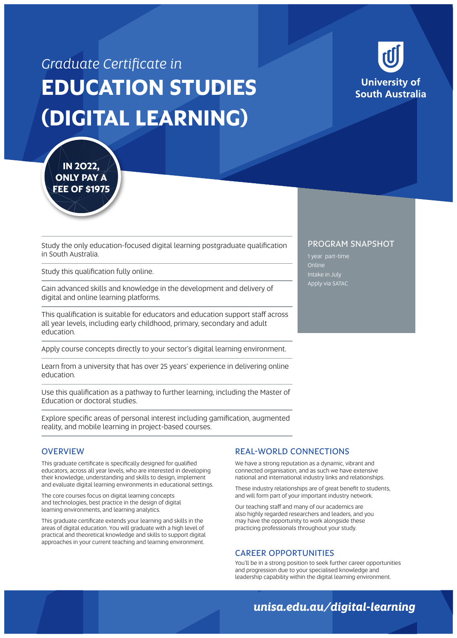# *Graduate Certificate in*  **EDUCATION STUDIES (DIGITAL LEARNING)**



**IN 2022, ONLY PAY A FEE OF \$1975**

Study the only education-focused digital learning postgraduate qualification in South Australia.

Study this qualification fully online.

Gain advanced skills and knowledge in the development and delivery of digital and online learning platforms.

This qualification is suitable for educators and education support staff across all year levels, including early childhood, primary, secondary and adult education.

Apply course concepts directly to your sector's digital learning environment.

Learn from a university that has over 25 years' experience in delivering online education.

Use this qualification as a pathway to further learning, including the Master of Education or doctoral studies.

Explore specific areas of personal interest including gamification, augmented reality, and mobile learning in project-based courses.

#### **OVERVIEW**

This graduate certificate is specifically designed for qualified educators, across all year levels, who are interested in developing their knowledge, understanding and skills to design, implement and evaluate digital learning environments in educational settings.

The core courses focus on digital learning concepts and technologies, best practice in the design of digital learning environments, and learning analytics.

This graduate certificate extends your learning and skills in the areas of digital education. You will graduate with a high level of practical and theoretical knowledge and skills to support digital approaches in your current teaching and learning environment.

#### REAL-WORLD CONNECTIONS

We have a strong reputation as a dynamic, vibrant and connected organisation, and as such we have extensive national and international industry links and relationships.

These industry relationships are of great benefit to students, and will form part of your important industry network.

Our teaching staff and many of our academics are also highly regarded researchers and leaders, and you may have the opportunity to work alongside these practicing professionals throughout your study.

#### CAREER OPPORTUNITIES

You'll be in a strong position to seek further career opportunities and progression due to your specialised knowledge and leadership capability within the digital learning environment.

## *unisa.edu.au/digital-learning*

#### PROGRAM SNAPSHOT

1 year part-time Online Intake in July Apply via SATAC